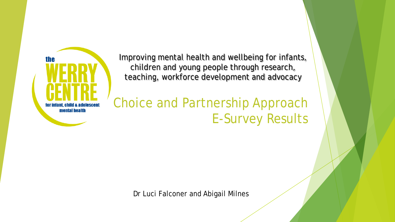

Improving mental health and wellbeing for infants, children and young people through research, teaching, workforce development and advocacy

Choice and Partnership Approach E-Survey Results

Dr Luci Falconer and Abigail Milnes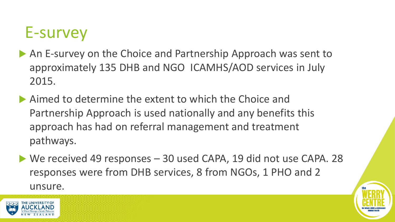# E-survey

- An E-survey on the Choice and Partnership Approach was sent to approximately 135 DHB and NGO ICAMHS/AOD services in July 2015.
- Aimed to determine the extent to which the Choice and Partnership Approach is used nationally and any benefits this approach has had on referral management and treatment pathways.
- ▶ We received 49 responses 30 used CAPA, 19 did not use CAPA. 28 responses were from DHB services, 8 from NGOs, 1 PHO and 2 unsure.

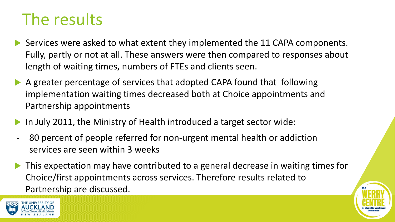# The results

- Services were asked to what extent they implemented the 11 CAPA components. Fully, partly or not at all. These answers were then compared to responses about length of waiting times, numbers of FTEs and clients seen.
- A greater percentage of services that adopted CAPA found that following implementation waiting times decreased both at Choice appointments and Partnership appointments
- In July 2011, the Ministry of Health introduced a target sector wide:
- 80 percent of people referred for non-urgent mental health or addiction services are seen within 3 weeks
- This expectation may have contributed to a general decrease in waiting times for Choice/first appointments across services. Therefore results related to Partnership are discussed.



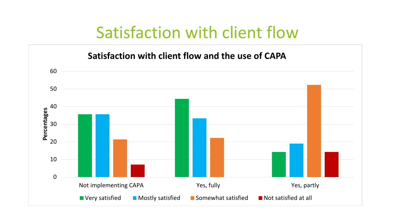# Satisfaction with client flow

**Satisfaction with client flow and the use of CAPA**

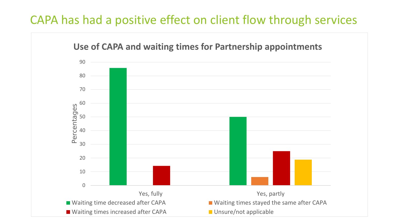### CAPA has had a positive effect on client flow through services

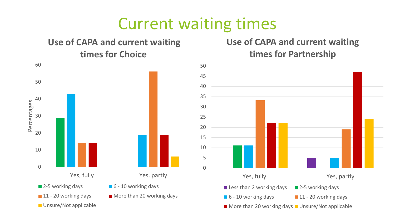# Current waiting times

#### **Use of CAPA and current waiting times for Choice**

#### **Use of CAPA and current waiting times for Partnership**



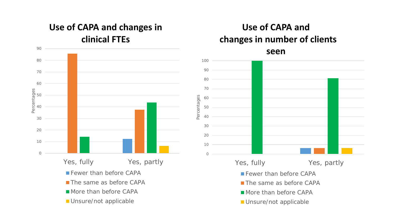#### **Use of CAPA and changes in clinical FTEs**



#### **Use of CAPA and changes in number of clients**

**seen**

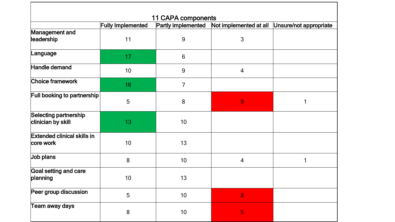| <b>11 CAPA components</b>                       |                          |                    |                        |                        |
|-------------------------------------------------|--------------------------|--------------------|------------------------|------------------------|
|                                                 | <b>Fully Implemented</b> | Partly implemented | Not implemented at all | Unsure/not appropriate |
| Management and<br>leadership                    | 11                       | 9                  | 3                      |                        |
| Language                                        | 17                       | $6\phantom{1}6$    |                        |                        |
| Handle demand                                   | 10                       | 9                  | 4                      |                        |
| Choice framework                                | 16                       | 7                  |                        |                        |
| Full booking to partnership                     | 5                        | 8                  | 9                      |                        |
| Selecting partnership<br>clinician by skill     | 13                       | 10                 |                        |                        |
| <b>Extended clinical skills in</b><br>core work | 10                       | 13                 |                        |                        |
| Job plans                                       | 8                        | 10                 | 4                      | 1                      |
| Goal setting and care<br>planning               | 10                       | 13                 |                        |                        |
| Peer group discussion                           | 5                        | 10                 | 8                      |                        |
| Team away days                                  | $\bf 8$                  | 10 <sup>1</sup>    | 5                      |                        |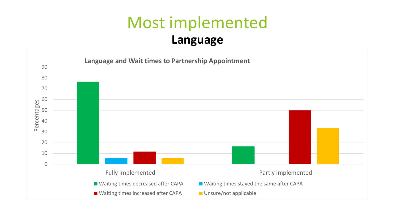### Most implemented **Language**

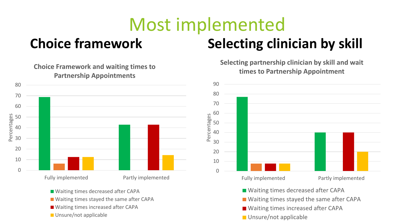# Most implemented **Choice framework Selecting clinician by skill**



■ Waiting times stayed the same after CAPA

■ Waiting times increased after CAPA

Unsure/not applicable

**Selecting partnership clinician by skill and wait times to Partnership Appointment**

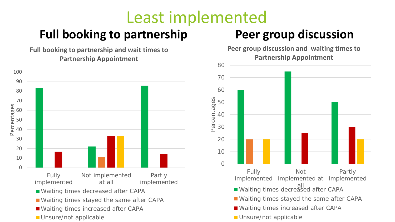# Least implemented

### Full booking to partnership **Peer group discussion**

**Full booking to partnership and wait times to Partnership Appointment**



**Peer group discussion and waiting times to Partnership Appointment**

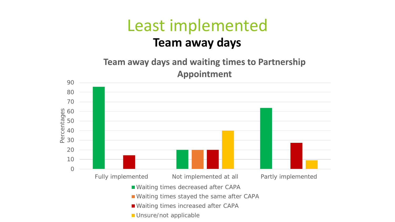### Least implemented **Team away days**

**Team away days and waiting times to Partnership Appointment**

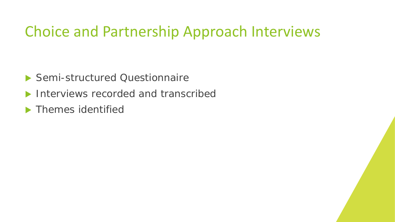### Choice and Partnership Approach Interviews

- ▶ Semi-structured Questionnaire
- Interviews recorded and transcribed
- **Themes identified**

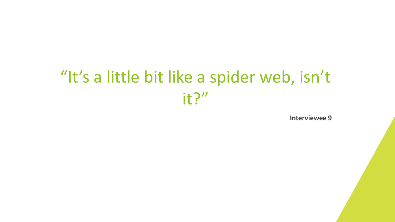# "It's a little bit like a spider web, isn't it?"

**Interviewee 9**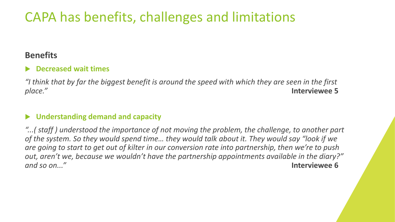### CAPA has benefits, challenges and limitations

#### **Benefits**

#### **Decreased wait times**

*"I think that by far the biggest benefit is around the speed with which they are seen in the first place."* **Interviewee 5**

#### **Understanding demand and capacity**

*"...( staff ) understood the importance of not moving the problem, the challenge, to another part of the system. So they would spend time… they would talk about it. They would say "look if we are going to start to get out of kilter in our conversion rate into partnership, then we're to push out, aren't we, because we wouldn't have the partnership appointments available in the diary?" and so on..."* **Interviewee 6**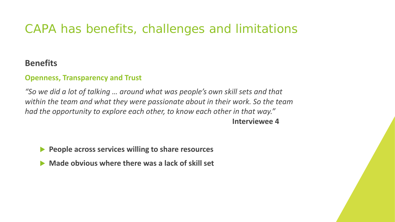### CAPA has benefits, challenges and limitations

#### **Benefits**

#### **Openness, Transparency and Trust**

*"So we did a lot of talking … around what was people's own skill sets and that within the team and what they were passionate about in their work. So the team had the opportunity to explore each other, to know each other in that way."*  **Interviewee 4**

**People across services willing to share resources** 

**Made obvious where there was a lack of skill set**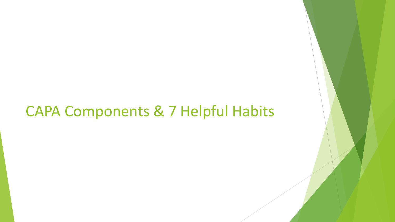### CAPA Components & 7 Helpful Habits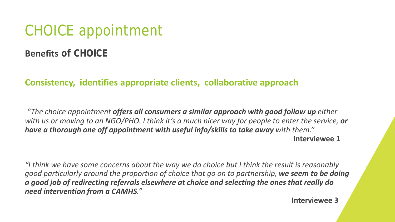### CHOICE appointment

#### **Benefits of CHOICE**

#### **Consistency, identifies appropriate clients, collaborative approach**

*"The choice appointment offers all consumers a similar approach with good follow up either with us or moving to an NGO/PHO. I think it's a much nicer way for people to enter the service, or have a thorough one off appointment with useful info/skills to take away with them."* **Interviewee 1**

*"I think we have some concerns about the way we do choice but I think the result is reasonably good particularly around the proportion of choice that go on to partnership, we seem to be doing a good job of redirecting referrals elsewhere at choice and selecting the ones that really do need intervention from a CAMHS."*

**Interviewee 3**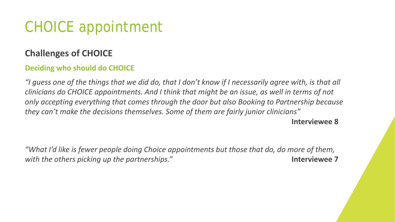### CHOICE appointment

#### **Challenges of CHOICE**

#### **Deciding who should do CHOICE**

*"I guess one of the things that we did do, that I don't know if I necessarily agree with, is that all clinicians do CHOICE appointments. And I think that might be an issue, as well in terms of not only accepting everything that comes through the door but also Booking to Partnership because they can't make the decisions themselves. Some of them are fairly junior clinicians"*  **Interviewee 8**

*"What I'd like is fewer people doing Choice appointments but those that do, do more of them, with the others picking up the partnerships."* **Interviewee 7**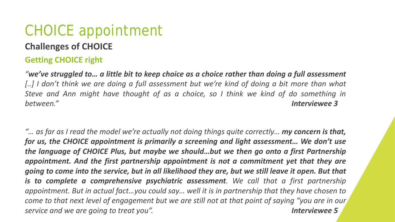# CHOICE appointment

#### **Challenges of CHOICE**

#### **Getting CHOICE right**

"we've struggled to... a little bit to keep choice as a choice rather than doing a full assessment [..] I don't think we are doing a full assessment but we're kind of doing a bit more than what *Steve and Ann might have thought of as a choice, so I think we kind of do something in between." Interviewee 3*

"... as far as I read the model we're actually not doing things quite correctly... **my concern is that,** *for us, the CHOICE appointment is primarily a screening and light assessment… We don't use the language of CHOICE Plus, but maybe we should…but we then go onto a first Partnership appointment. And the first partnership appointment is not a commitment yet that they are* going to come into the service, but in all likelihood they are, but we still leave it open. But that *is to complete a comprehensive psychiatric assessment. We call that a first partnership appointment. But in actual fact…you could say… well it is in partnership that they have chosen to* come to that next level of engagement but we are still not at that point of saying "you are in our *service and we are going to treat you". Interviewee 5*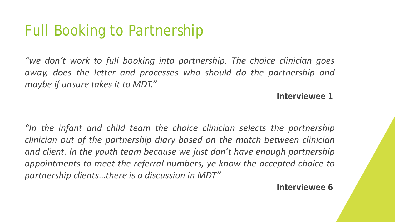### Full Booking to Partnership

*"we don't work to full booking into partnership. The choice clinician goes away, does the letter and processes who should do the partnership and maybe if unsure takes it to MDT."*

**Interviewee 1**

*"In the infant and child team the choice clinician selects the partnership clinician out of the partnership diary based on the match between clinician and client. In the youth team because we just don't have enough partnership appointments to meet the referral numbers, ye know the accepted choice to partnership clients…there is a discussion in MDT"*

**Interviewee 6**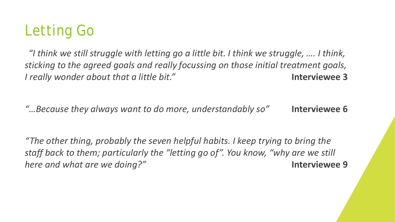

*"I think we still struggle with letting go a little bit. I think we struggle, …. I think, sticking to the agreed goals and really focussing on those initial treatment goals, I really wonder about that a little bit."* **Interviewee 3**

*"…Because they always want to do more, understandably so"* **Interviewee 6**

*"The other thing, probably the seven helpful habits. I keep trying to bring the staff back to them; particularly the "letting go of". You know, "why are we still here and what are we doing?"* **Interviewee 9**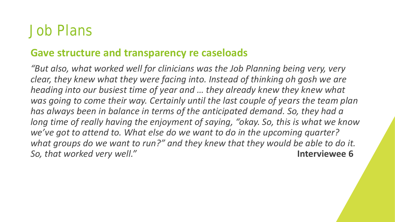### Job Plans

#### **Gave structure and transparency re caseloads**

*"But also, what worked well for clinicians was the Job Planning being very, very clear, they knew what they were facing into. Instead of thinking oh gosh we are heading into our busiest time of year and … they already knew they knew what was going to come their way. Certainly until the last couple of years the team plan has always been in balance in terms of the anticipated demand. So, they had a long time of really having the enjoyment of saying, "okay. So, this is what we know we've got to attend to. What else do we want to do in the upcoming quarter? what groups do we want to run?" and they knew that they would be able to do it. So, that worked very well."* **Interviewee 6**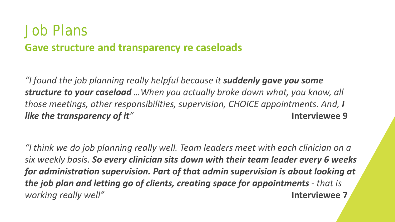### Job Plans **Gave structure and transparency re caseloads**

*"I found the job planning really helpful because it suddenly gave you some structure to your caseload …When you actually broke down what, you know, all those meetings, other responsibilities, supervision, CHOICE appointments. And, I like the transparency of it"* **Interviewee 9**

*"I think we do job planning really well. Team leaders meet with each clinician on a six weekly basis. So every clinician sits down with their team leader every 6 weeks for administration supervision. Part of that admin supervision is about looking at the job plan and letting go of clients, creating space for appointments - that is working really well"* **Interviewee 7**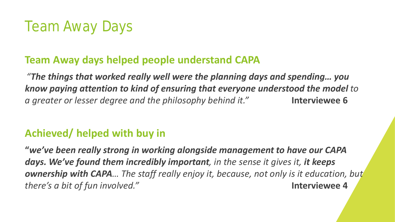## Team Away Days

### **Team Away days helped people understand CAPA**

*"The things that worked really well were the planning days and spending… you know paying attention to kind of ensuring that everyone understood the model to a greater or lesser degree and the philosophy behind it."* **Interviewee 6**

### **Achieved/ helped with buy in**

**"***we've been really strong in working alongside management to have our CAPA days. We've found them incredibly important, in the sense it gives it, it keeps ownership with CAPA… The staff really enjoy it, because, not only is it education, but there's a bit of fun involved."* **Interviewee 4**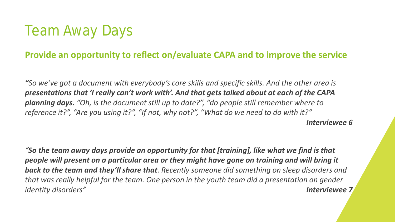### Team Away Days

#### **Provide an opportunity to reflect on/evaluate CAPA and to improve the service**

*"So we've got a document with everybody's core skills and specific skills. And the other area is presentations that 'I really can't work with'. And that gets talked about at each of the CAPA planning days. "Oh, is the document still up to date?", "do people still remember where to reference it?", "Are you using it?", "If not, why not?", "What do we need to do with it?" Interviewee 6*

*"So the team away days provide an opportunity for that [training], like what we find is that people will present on a particular area or they might have gone on training and will bring it back to the team and they'll share that. Recently someone did something on sleep disorders and that was really helpful for the team. One person in the youth team did a presentation on gender identity disorders" Interviewee 7*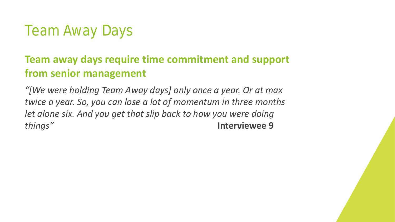### Team Away Days

### **Team away days require time commitment and support from senior management**

*"[We were holding Team Away days] only once a year. Or at max twice a year. So, you can lose a lot of momentum in three months let alone six. And you get that slip back to how you were doing things"* **Interviewee 9**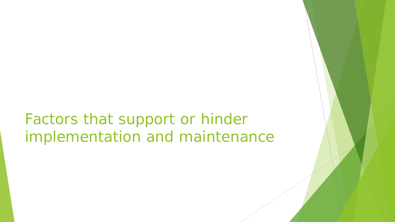## Factors that support or hinder implementation and maintenance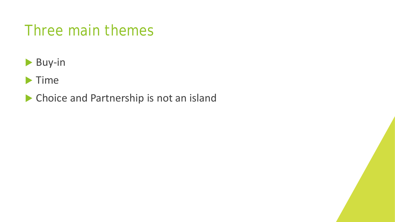### Three main themes

- Buy-in
- $\blacktriangleright$  Time
- Choice and Partnership is not an island

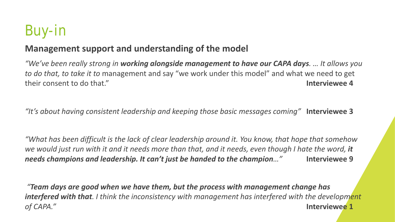# Buy-in

#### **Management support and understanding of the model**

*"We've been really strong in working alongside management to have our CAPA days. … It allows you to do that, to take it to* management and say "we work under this model" and what we need to get their consent to do that." **Interviewee 4**

*"It's about having consistent leadership and keeping those basic messages coming"* **Interviewee 3**

*"What has been difficult is the lack of clear leadership around it. You know, that hope that somehow we would just run with it and it needs more than that, and it needs, even though I hate the word, it needs champions and leadership. It can't just be handed to the champion…"* **Interviewee 9**

*"Team days are good when we have them, but the process with management change has interfered with that. I think the inconsistency with management has interfered with the development of CAPA."* **Interviewee 1**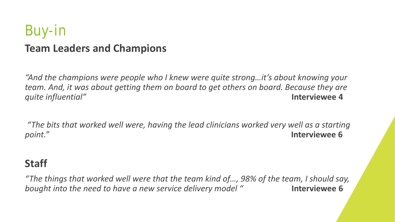### Buy-in **Team Leaders and Champions**

*"And the champions were people who I knew were quite strong…it's about knowing your team. And, it was about getting them on board to get others on board. Because they are quite influential"* **Interviewee 4**

*"The bits that worked well were, having the lead clinicians worked very well as a starting point."* **Interviewee 6**

#### **Staff**

*"The things that worked well were that the team kind of…, 98% of the team, I should say, bought into the need to have a new service delivery model "* **Interviewee 6**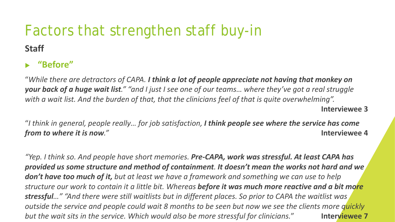### Factors that strengthen staff buy-in **Staff**

#### **"Before"**

"*While there are detractors of CAPA. I think a lot of people appreciate not having that monkey on your back of a huge wait list." "and I just I see one of our teams… where they've got a real struggle with a wait list. And the burden of that, that the clinicians feel of that is quite overwhelming".*  **Interviewee 3**

"*I think in general, people really… for job satisfaction, I think people see where the service has come from to where it is now."* **Interviewee 4**

*"Yep. I think so. And people have short memories. Pre-CAPA, work was stressful. At least CAPA has provided us some structure and method of containment. It doesn't mean the works not hard and we don't have too much of it, but at least we have a framework and something we can use to help structure our work to contain it a little bit. Whereas before it was much more reactive and a bit more stressful…" "And there were still waitlists but in different places. So prior to CAPA the waitlist was outside the service and people could wait 8 months to be seen but now we see the clients more quickly but the wait sits in the service. Which would also be more stressful for clinicians.*" **Interviewee 7**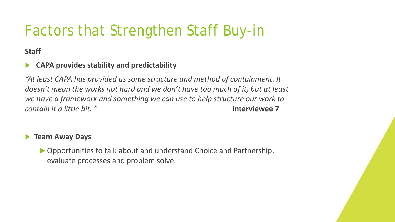# Factors that Strengthen Staff Buy-in

**Staff**

#### **CAPA provides stability and predictability**

*"At least CAPA has provided us some structure and method of containment. It doesn't mean the works not hard and we don't have too much of it, but at least we have a framework and something we can use to help structure our work to contain it a little bit. "* **Interviewee 7**

#### **Team Away Days**

▶ Opportunities to talk about and understand Choice and Partnership, evaluate processes and problem solve.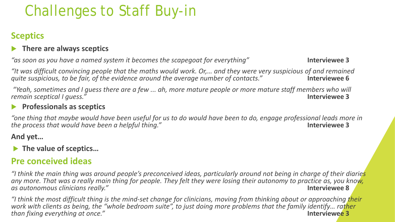# Challenges to Staff Buy-in

#### **Sceptics**

#### **There are always sceptics**

*"as soon as you have a named system it becomes the scapegoat for everything"* **Interviewee 3**

*"It was difficult convincing people that the maths would work. Or,… and they were very suspicious of and remained quite suspicious, to be fair, of the evidence around the average number of contacts."* **Interviewee 6**

*"Yeah, sometimes and I guess there are a few ... ah, more mature people or more mature staff members who will remain sceptical I guess."* **Interviewee 3**

#### **Professionals as sceptics**

*"one thing that maybe would have been useful for us to do would have been to do, engage professional leads more in the process that would have been a helpful thing."* **Interviewee 3**

#### **And yet…**

#### **▶ The value of sceptics...**

#### **Pre conceived ideas**

*"I think the main thing was around people's preconceived ideas, particularly around not being in charge of their diaries any more. That was a really main thing for people. They felt they were losing their autonomy to practice as, you know, as autonomous clinicians really."* **Interviewee 8**

*"I think the most difficult thing is the mind-set change for clinicians, moving from thinking about or approaching their*  work with clients as being, the "whole bedroom suite", to just doing more problems that the family identify... rather *than fixing everything at once."* **Interviewee 3**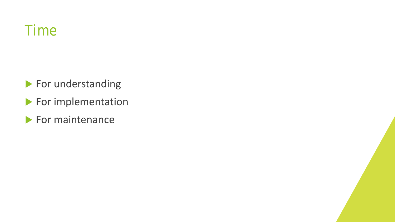

For understanding

- For implementation
- $\blacktriangleright$  For maintenance

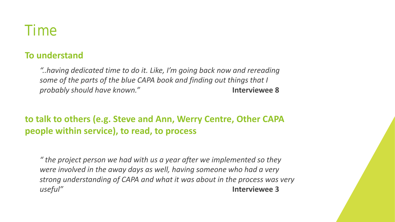

#### **To understand**

*"..having dedicated time to do it. Like, I'm going back now and rereading some of the parts of the blue CAPA book and finding out things that I probably should have known."* **Interviewee 8**

**to talk to others (e.g. Steve and Ann, Werry Centre, Other CAPA people within service), to read, to process**

*" the project person we had with us a year after we implemented so they were involved in the away days as well, having someone who had a very strong understanding of CAPA and what it was about in the process was very useful"* **Interviewee 3**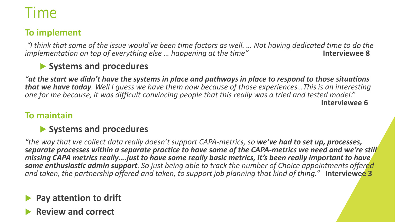### Time

#### **To implement**

*"I think that some of the issue would've been time factors as well. … Not having dedicated time to do the implementation on top of everything else … happening at the time"* **Interviewee 8**

#### **Systems and procedures**

*"at the start we didn't have the systems in place and pathways in place to respond to those situations that we have today. Well I guess we have them now because of those experiences…This is an interesting one for me because, it was difficult convincing people that this really was a tried and tested model."*  **Interviewee 6**

#### **To maintain**

#### **Systems and procedures**

*"the way that we collect data really doesn't support CAPA-metrics, so we've had to set up, processes, separate processes within a separate practice to have some of the CAPA-metrics we need and we're still missing CAPA metrics really….just to have some really basic metrics, it's been really important to have some enthusiastic admin support. So just being able to track the number of Choice appointments offered and taken, the partnership offered and taken, to support job planning that kind of thing."* **Interviewee 3**

#### **Pay attention to drift**

#### **Review and correct**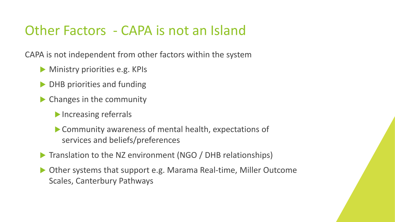CAPA is not independent from other factors within the system

- **Ministry priorities e.g. KPIs**
- DHB priorities and funding
- **Changes in the community** 
	- Increasing referrals
	- Community awareness of mental health, expectations of services and beliefs/preferences
- Translation to the NZ environment (NGO / DHB relationships)
- ▶ Other systems that support e.g. Marama Real-time, Miller Outcome Scales, Canterbury Pathways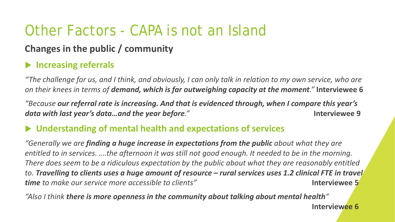### **Changes in the public / community**

#### **Increasing referrals**

*"The challenge for us, and I think, and obviously, I can only talk in relation to my own service, who are on their knees in terms of demand, which is far outweighing capacity at the moment."* **Interviewee 6**

*"Because our referral rate is increasing. And that is evidenced through, when I compare this year's data with last year's data…and the year before."* **Interviewee 9**

#### **Understanding of mental health and expectations of services**

*"Generally we are finding a huge increase in expectations from the public about what they are entitled to in services. ….the afternoon it was still not good enough. It needed to be in the morning. There does seem to be a ridiculous expectation by the public about what they are reasonably entitled to. Travelling to clients uses a huge amount of resource – rural services uses 1.2 clinical FTE in travel time to make our service more accessible to clients"* **Interviewee 5**

*"Also I think there is more openness in the community about talking about mental health"* 

**Interviewee 6**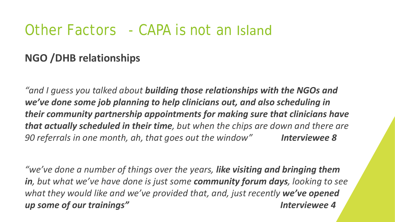### **NGO /DHB relationships**

*"and I guess you talked about building those relationships with the NGOs and we've done some job planning to help clinicians out, and also scheduling in their community partnership appointments for making sure that clinicians have that actually scheduled in their time, but when the chips are down and there are 90 referrals in one month, ah, that goes out the window" Interviewee 8*

*"we've done a number of things over the years, like visiting and bringing them in, but what we've have done is just some community forum days, looking to see what they would like and we've provided that, and, just recently we've opened up some of our trainings" Interviewee 4*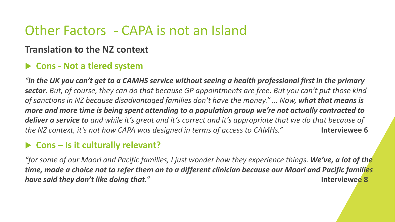#### **Translation to the NZ context**

#### **Cons - Not a tiered system**

*"in the UK you can't get to a CAMHS service without seeing a health professional first in the primary sector. But, of course, they can do that because GP appointments are free. But you can't put those kind of sanctions in NZ because disadvantaged families don't have the money." ... Now, what that means is more and more time is being spent attending to a population group we're not actually contracted to deliver a service to and while it's great and it's correct and it's appropriate that we do that because of the NZ context, it's not how CAPA was designed in terms of access to CAMHs."* **Interviewee 6**

#### **Cons – Is it culturally relevant?**

*"for some of our Maori and Pacific families, I just wonder how they experience things. We've, a lot of the time, made a choice not to refer them on to a different clinician because our Maori and Pacific families have said they don't like doing that."* **Interviewee 8**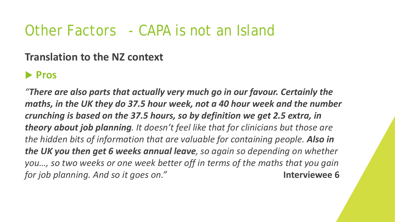#### **Translation to the NZ context**

### **Pros**

*"There are also parts that actually very much go in our favour. Certainly the maths, in the UK they do 37.5 hour week, not a 40 hour week and the number crunching is based on the 37.5 hours, so by definition we get 2.5 extra, in theory about job planning. It doesn't feel like that for clinicians but those are the hidden bits of information that are valuable for containing people. Also in the UK you then get 6 weeks annual leave, so again so depending on whether you…, so two weeks or one week better off in terms of the maths that you gain for job planning. And so it goes on."* **Interviewee 6**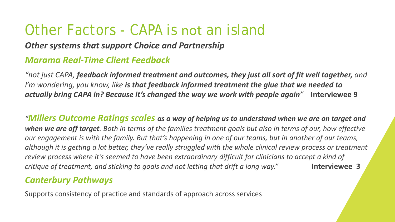#### *Other systems that support Choice and Partnership*

#### *Marama Real-Time Client Feedback*

*"not just CAPA, feedback informed treatment and outcomes, they just all sort of fit well together, and I'm wondering, you know, like is that feedback informed treatment the glue that we needed to actually bring CAPA in? Because it's changed the way we work with people again"* **Interviewee 9** 

*"Millers Outcome Ratings scales as a way of helping us to understand when we are on target and when we are off target. Both in terms of the families treatment goals but also in terms of our, how effective our engagement is with the family. But that's happening in one of our teams, but in another of our teams, although it is getting a lot better, they've really struggled with the whole clinical review process or treatment review process where it's seemed to have been extraordinary difficult for clinicians to accept a kind of critique of treatment, and sticking to goals and not letting that drift a long way."* **Interviewee 3**

#### *Canterbury Pathways*

Supports consistency of practice and standards of approach across services